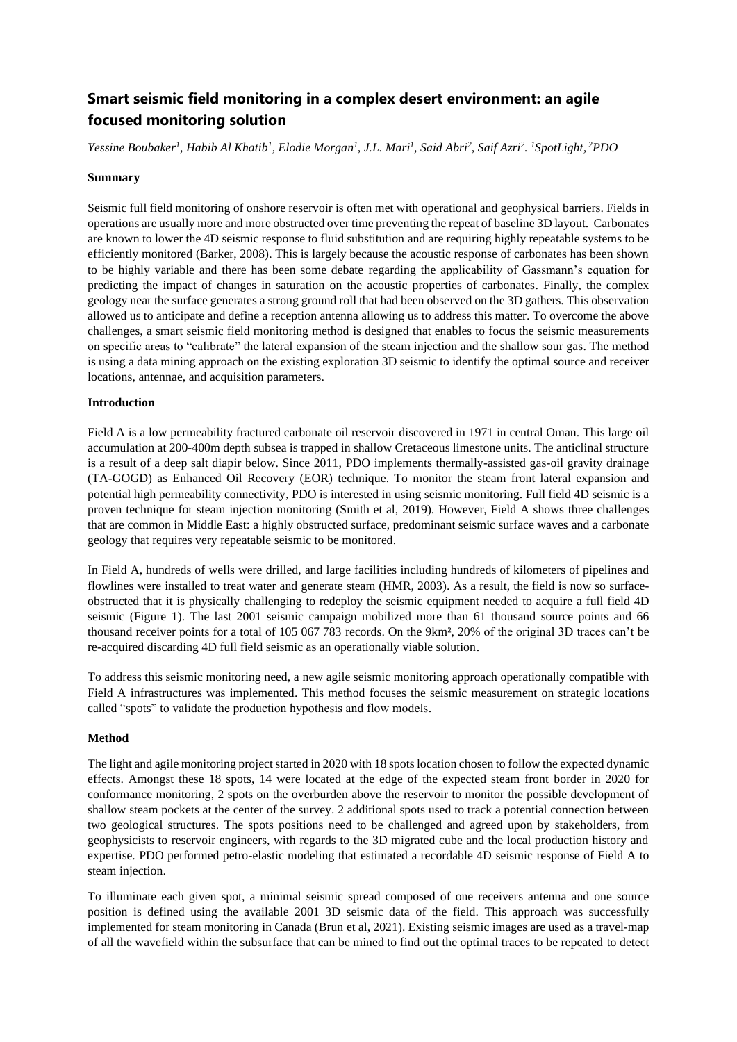# **Smart seismic field monitoring in a complex desert environment: an agile focused monitoring solution**

Yessine Boubaker<sup>1</sup>, Habib Al Khatib<sup>1</sup>, Elodie Morgan<sup>1</sup>, J.L. Mari<sup>1</sup>, Said Abri<sup>2</sup>, Saif Azri<sup>2</sup>. <sup>1</sup>SpotLight, <sup>2</sup>PDO

#### **Summary**

Seismic full field monitoring of onshore reservoir is often met with operational and geophysical barriers. Fields in operations are usually more and more obstructed over time preventing the repeat of baseline 3D layout. Carbonates are known to lower the 4D seismic response to fluid substitution and are requiring highly repeatable systems to be efficiently monitored (Barker, 2008). This is largely because the acoustic response of carbonates has been shown to be highly variable and there has been some debate regarding the applicability of Gassmann's equation for predicting the impact of changes in saturation on the acoustic properties of carbonates. Finally, the complex geology near the surface generates a strong ground roll that had been observed on the 3D gathers. This observation allowed us to anticipate and define a reception antenna allowing us to address this matter. To overcome the above challenges, a smart seismic field monitoring method is designed that enables to focus the seismic measurements on specific areas to "calibrate" the lateral expansion of the steam injection and the shallow sour gas. The method is using a data mining approach on the existing exploration 3D seismic to identify the optimal source and receiver locations, antennae, and acquisition parameters.

# **Introduction**

Field A is a low permeability fractured carbonate oil reservoir discovered in 1971 in central Oman. This large oil accumulation at 200-400m depth subsea is trapped in shallow Cretaceous limestone units. The anticlinal structure is a result of a deep salt diapir below. Since 2011, PDO implements thermally-assisted gas-oil gravity drainage (TA-GOGD) as Enhanced Oil Recovery (EOR) technique. To monitor the steam front lateral expansion and potential high permeability connectivity, PDO is interested in using seismic monitoring. Full field 4D seismic is a proven technique for steam injection monitoring (Smith et al, 2019). However, Field A shows three challenges that are common in Middle East: a highly obstructed surface, predominant seismic surface waves and a carbonate geology that requires very repeatable seismic to be monitored.

In Field A, hundreds of wells were drilled, and large facilities including hundreds of kilometers of pipelines and flowlines were installed to treat water and generate steam (HMR, 2003). As a result, the field is now so surfaceobstructed that it is physically challenging to redeploy the seismic equipment needed to acquire a full field 4D seismic (Figure 1). The last 2001 seismic campaign mobilized more than 61 thousand source points and 66 thousand receiver points for a total of 105 067 783 records. On the 9km², 20% of the original 3D traces can't be re-acquired discarding 4D full field seismic as an operationally viable solution.

To address this seismic monitoring need, a new agile seismic monitoring approach operationally compatible with Field A infrastructures was implemented. This method focuses the seismic measurement on strategic locations called "spots" to validate the production hypothesis and flow models.

# **Method**

The light and agile monitoring project started in 2020 with 18 spotslocation chosen to follow the expected dynamic effects. Amongst these 18 spots, 14 were located at the edge of the expected steam front border in 2020 for conformance monitoring, 2 spots on the overburden above the reservoir to monitor the possible development of shallow steam pockets at the center of the survey. 2 additional spots used to track a potential connection between two geological structures. The spots positions need to be challenged and agreed upon by stakeholders, from geophysicists to reservoir engineers, with regards to the 3D migrated cube and the local production history and expertise. PDO performed petro-elastic modeling that estimated a recordable 4D seismic response of Field A to steam injection.

To illuminate each given spot, a minimal seismic spread composed of one receivers antenna and one source position is defined using the available 2001 3D seismic data of the field. This approach was successfully implemented for steam monitoring in Canada (Brun et al, 2021). Existing seismic images are used as a travel-map of all the wavefield within the subsurface that can be mined to find out the optimal traces to be repeated to detect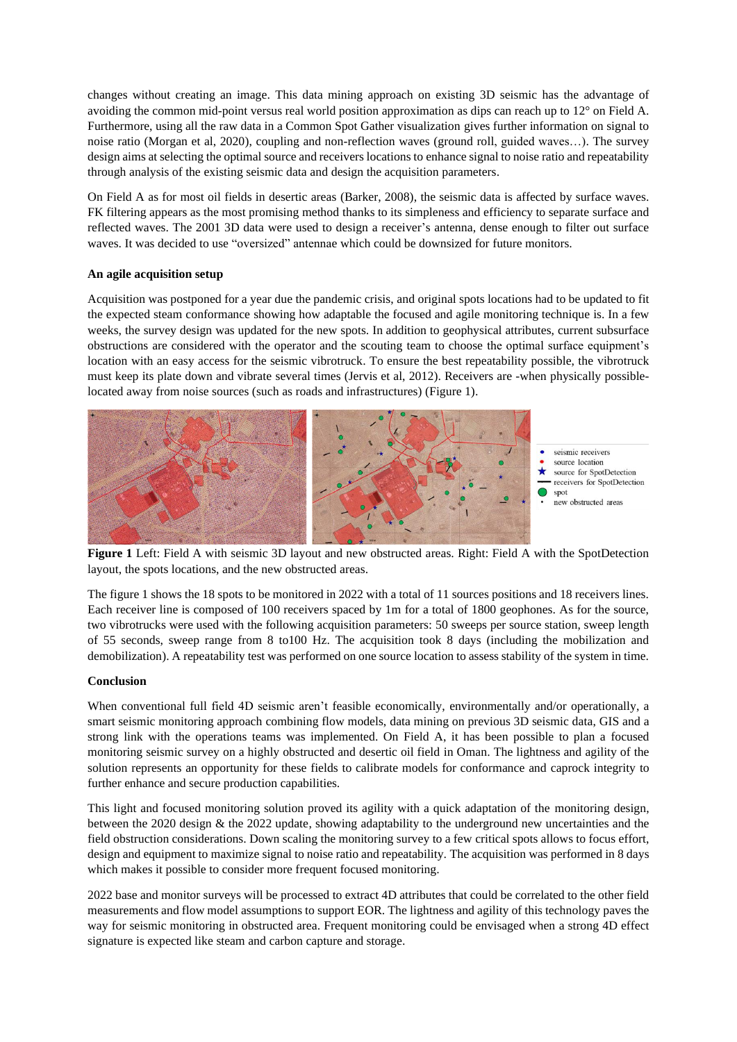changes without creating an image. This data mining approach on existing 3D seismic has the advantage of avoiding the common mid-point versus real world position approximation as dips can reach up to 12° on Field A. Furthermore, using all the raw data in a Common Spot Gather visualization gives further information on signal to noise ratio (Morgan et al, 2020), coupling and non-reflection waves (ground roll, guided waves…). The survey design aims at selecting the optimal source and receivers locations to enhance signal to noise ratio and repeatability through analysis of the existing seismic data and design the acquisition parameters.

On Field A as for most oil fields in desertic areas (Barker, 2008), the seismic data is affected by surface waves. FK filtering appears as the most promising method thanks to its simpleness and efficiency to separate surface and reflected waves. The 2001 3D data were used to design a receiver's antenna, dense enough to filter out surface waves. It was decided to use "oversized" antennae which could be downsized for future monitors.

# **An agile acquisition setup**

Acquisition was postponed for a year due the pandemic crisis, and original spots locations had to be updated to fit the expected steam conformance showing how adaptable the focused and agile monitoring technique is. In a few weeks, the survey design was updated for the new spots. In addition to geophysical attributes, current subsurface obstructions are considered with the operator and the scouting team to choose the optimal surface equipment's location with an easy access for the seismic vibrotruck. To ensure the best repeatability possible, the vibrotruck must keep its plate down and vibrate several times (Jervis et al, 2012). Receivers are -when physically possiblelocated away from noise sources (such as roads and infrastructures) (Figure 1).



**Figure 1** Left: Field A with seismic 3D layout and new obstructed areas. Right: Field A with the SpotDetection layout, the spots locations, and the new obstructed areas.

The figure 1 shows the 18 spots to be monitored in 2022 with a total of 11 sources positions and 18 receivers lines. Each receiver line is composed of 100 receivers spaced by 1m for a total of 1800 geophones. As for the source, two vibrotrucks were used with the following acquisition parameters: 50 sweeps per source station, sweep length of 55 seconds, sweep range from 8 to100 Hz. The acquisition took 8 days (including the mobilization and demobilization). A repeatability test was performed on one source location to assess stability of the system in time.

#### **Conclusion**

When conventional full field 4D seismic aren't feasible economically, environmentally and/or operationally, a smart seismic monitoring approach combining flow models, data mining on previous 3D seismic data, GIS and a strong link with the operations teams was implemented. On Field A, it has been possible to plan a focused monitoring seismic survey on a highly obstructed and desertic oil field in Oman. The lightness and agility of the solution represents an opportunity for these fields to calibrate models for conformance and caprock integrity to further enhance and secure production capabilities.

This light and focused monitoring solution proved its agility with a quick adaptation of the monitoring design, between the 2020 design & the 2022 update, showing adaptability to the underground new uncertainties and the field obstruction considerations. Down scaling the monitoring survey to a few critical spots allows to focus effort, design and equipment to maximize signal to noise ratio and repeatability. The acquisition was performed in 8 days which makes it possible to consider more frequent focused monitoring.

2022 base and monitor surveys will be processed to extract 4D attributes that could be correlated to the other field measurements and flow model assumptions to support EOR. The lightness and agility of this technology paves the way for seismic monitoring in obstructed area. Frequent monitoring could be envisaged when a strong 4D effect signature is expected like steam and carbon capture and storage.